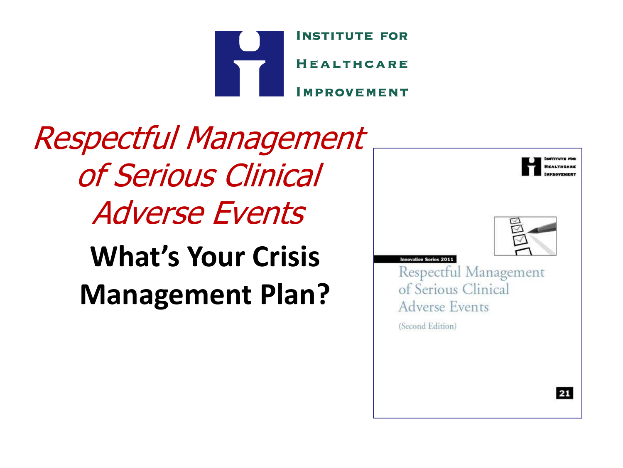

### Respectful Management of Serious Clinical Adverse Events **What's Your Crisis Management Plan?**

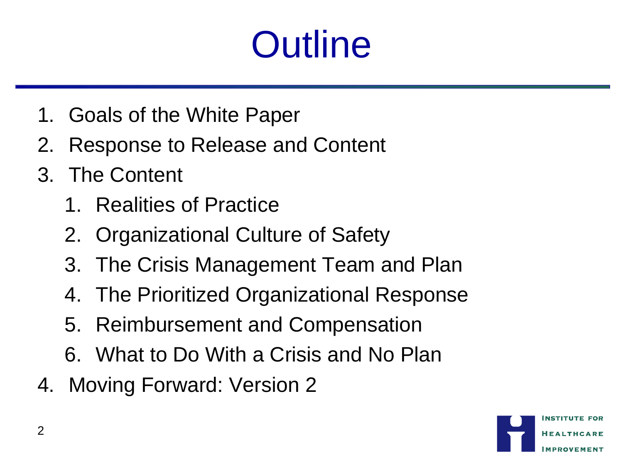## **Outline**

- 1. Goals of the White Paper
- 2. Response to Release and Content
- 3. The Content
	- 1. Realities of Practice
	- 2. Organizational Culture of Safety
	- 3. The Crisis Management Team and Plan
	- 4. The Prioritized Organizational Response
	- 5. Reimbursement and Compensation
	- 6. What to Do With a Crisis and No Plan
- 4. Moving Forward: Version 2

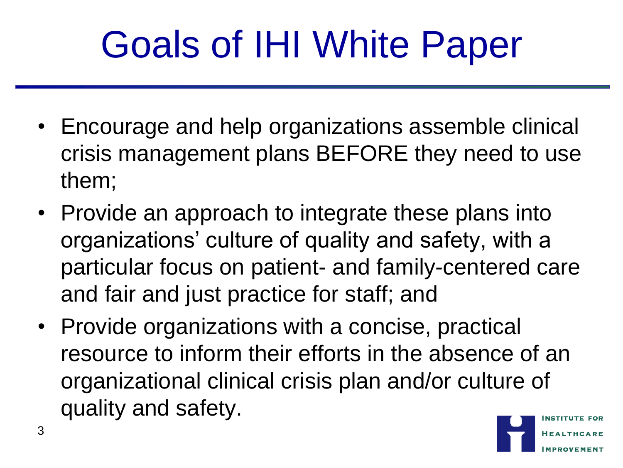## Goals of IHI White Paper

- Encourage and help organizations assemble clinical crisis management plans BEFORE they need to use them;
- Provide an approach to integrate these plans into organizations' culture of quality and safety, with a particular focus on patient- and family-centered care and fair and just practice for staff; and
- Provide organizations with a concise, practical resource to inform their efforts in the absence of an organizational clinical crisis plan and/or culture of quality and safety.

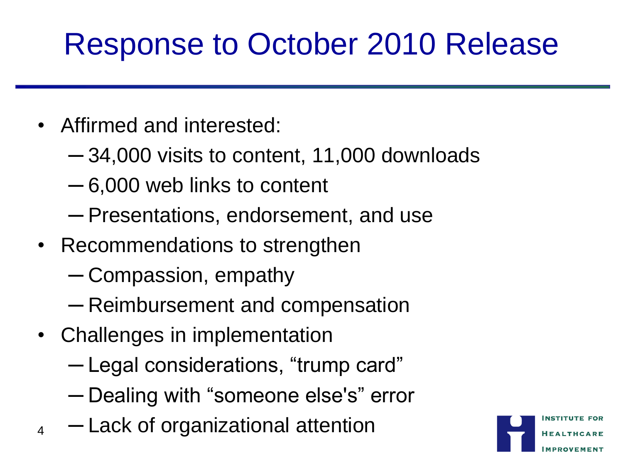#### Response to October 2010 Release

- Affirmed and interested:
	- ─ 34,000 visits to content, 11,000 downloads
	- ─ 6,000 web links to content
	- ─ Presentations, endorsement, and use
- Recommendations to strengthen
	- ─ Compassion, empathy
	- ─ Reimbursement and compensation
- Challenges in implementation
	- ─ Legal considerations, "trump card"
	- ─ Dealing with "someone else's" error
- $_4$   $-$  Lack of organizational attention

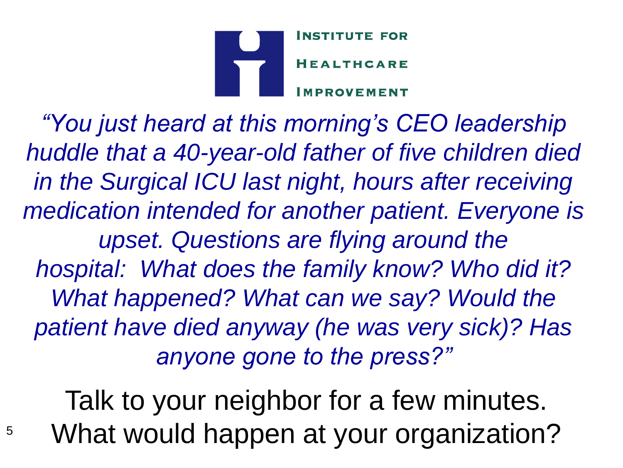

*"You just heard at this morning's CEO leadership huddle that a 40-year-old father of five children died in the Surgical ICU last night, hours after receiving medication intended for another patient. Everyone is upset. Questions are flying around the hospital: What does the family know? Who did it? What happened? What can we say? Would the patient have died anyway (he was very sick)? Has anyone gone to the press?"*

Talk to your neighbor for a few minutes. What would happen at your organization?

5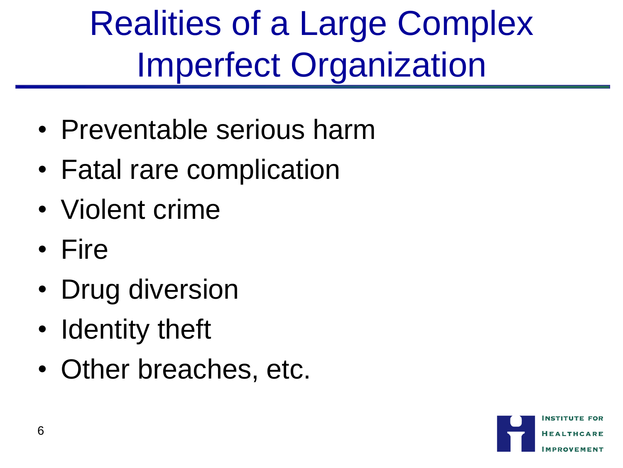Realities of a Large Complex Imperfect Organization

- Preventable serious harm
- Fatal rare complication
- Violent crime
- Fire
- Drug diversion
- Identity theft
- Other breaches, etc.

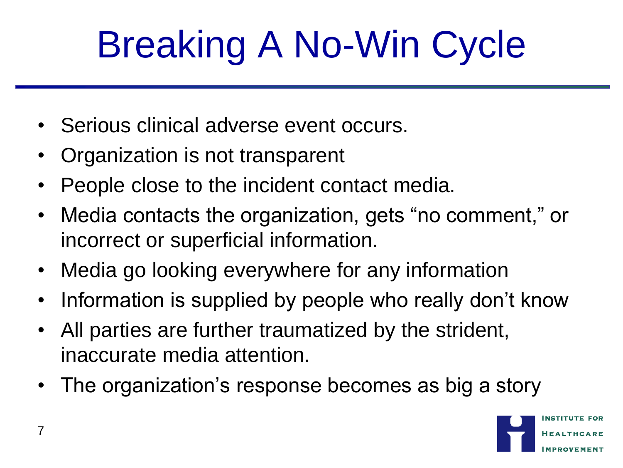# Breaking A No-Win Cycle

- Serious clinical adverse event occurs.
- Organization is not transparent
- People close to the incident contact media.
- Media contacts the organization, gets "no comment," or incorrect or superficial information.
- Media go looking everywhere for any information
- Information is supplied by people who really don't know
- All parties are further traumatized by the strident, inaccurate media attention.
- The organization's response becomes as big a story

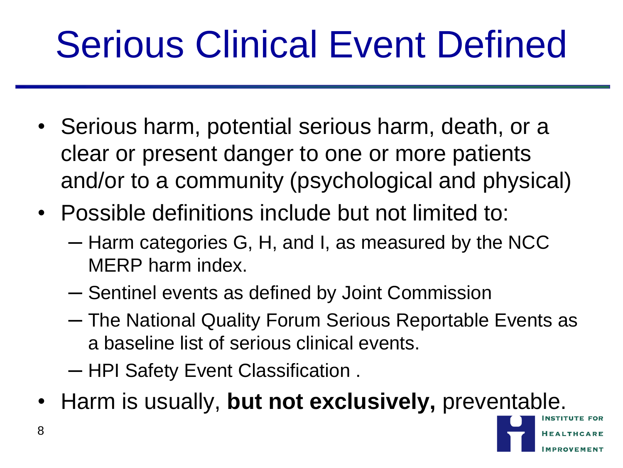## Serious Clinical Event Defined

- Serious harm, potential serious harm, death, or a clear or present danger to one or more patients and/or to a community (psychological and physical)
- Possible definitions include but not limited to:
	- ─ Harm categories G, H, and I, as measured by the NCC MERP harm index.
	- ─ Sentinel events as defined by Joint Commission
	- ─ The National Quality Forum Serious Reportable Events as a baseline list of serious clinical events.
	- ─ HPI Safety Event Classification .
- Harm is usually, **but not exclusively,** preventable.

8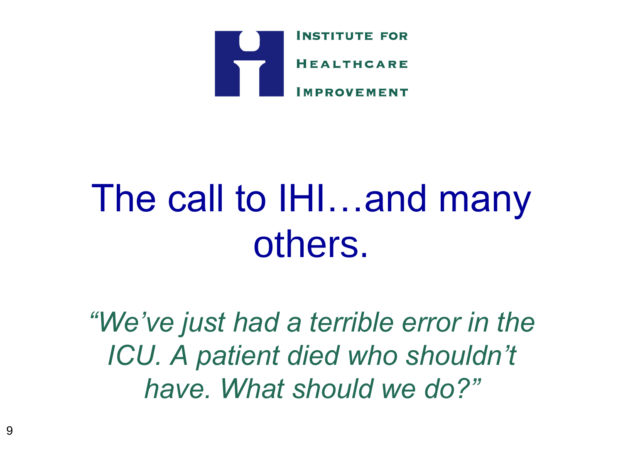

### The call to IHI…and many others.

*"We've just had a terrible error in the ICU. A patient died who shouldn't have. What should we do?"*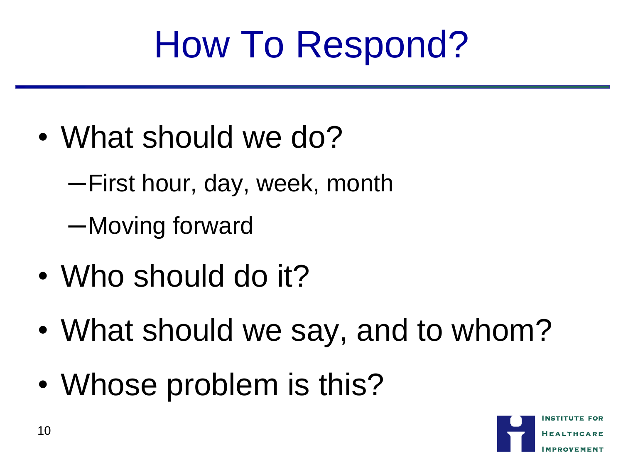## How To Respond?

- What should we do?
	- ─First hour, day, week, month
	- ─Moving forward
- Who should do it?
- What should we say, and to whom?
- Whose problem is this?

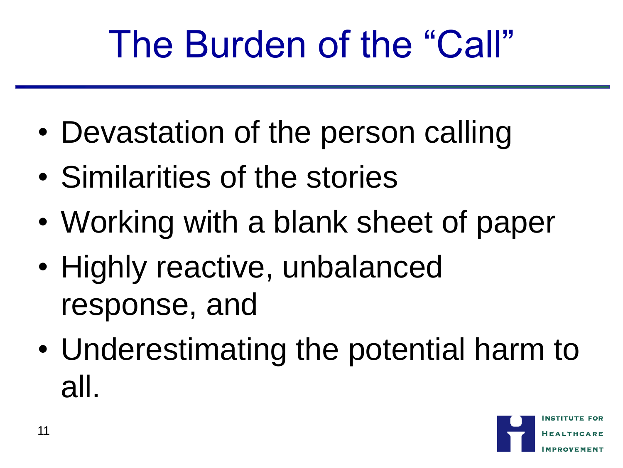### The Burden of the "Call"

- Devastation of the person calling
- Similarities of the stories
- Working with a blank sheet of paper
- Highly reactive, unbalanced response, and
- Underestimating the potential harm to all.

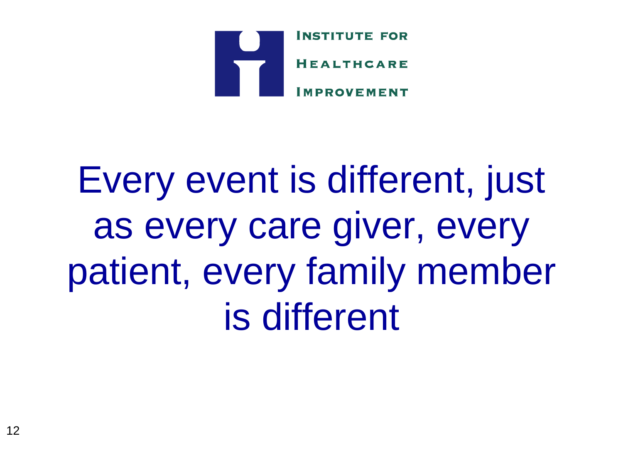

## Every event is different, just as every care giver, every patient, every family member is different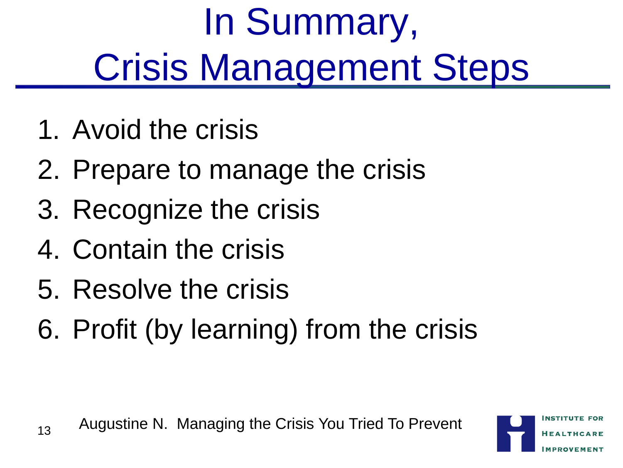# In Summary, Crisis Management Steps

- 1. Avoid the crisis
- 2. Prepare to manage the crisis
- 3. Recognize the crisis
- 4. Contain the crisis
- 5. Resolve the crisis
- 6. Profit (by learning) from the crisis

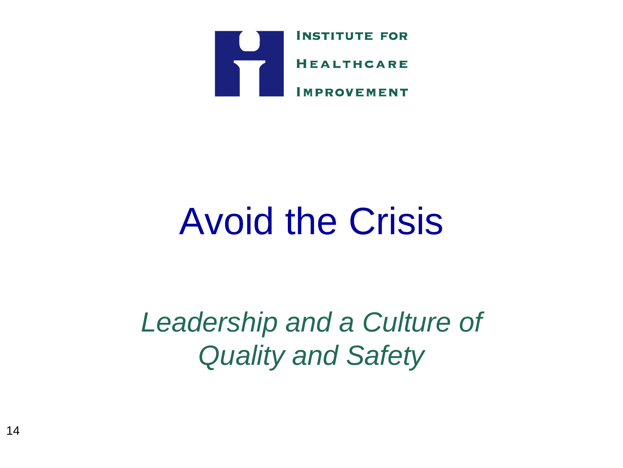

### Avoid the Crisis

*Leadership and a Culture of Quality and Safety*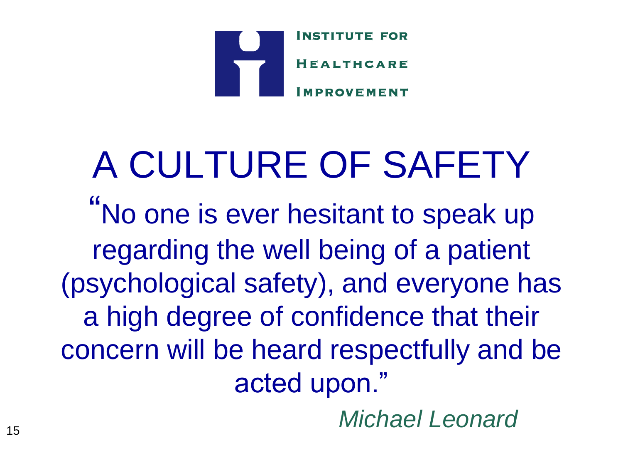

### A CULTURE OF SAFETY "No one is ever hesitant to speak up regarding the well being of a patient (psychological safety), and everyone has a high degree of confidence that their concern will be heard respectfully and be acted upon."

*Michael Leonard* <sup>15</sup>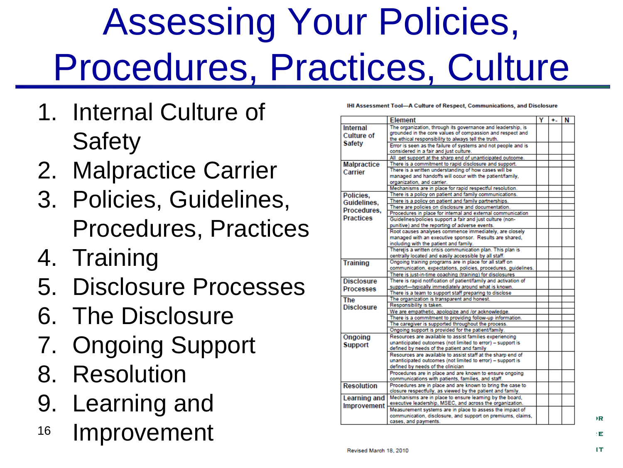## Assessing Your Policies, Procedures, Practices, Culture

- 1. Internal Culture of **Safety**
- 2. Malpractice Carrier
- 3. Policies, Guidelines, Procedures, Practices
- 4. Training
- 5. Disclosure Processes
- 6. The Disclosure
- 7. Ongoing Support
- 8. Resolution
- 9. Learning and
- 16 Improvement

IHI Assessment Tool--- A Culture of Respect, Communications, and Disclosure

|                    | <b>Element</b>                                                  | Y | ÷. | N |  |
|--------------------|-----------------------------------------------------------------|---|----|---|--|
| Internal           | The organization, through its governance and leadership, is     |   |    |   |  |
| <b>Culture of</b>  | grounded in the core values of compassion and respect and       |   |    |   |  |
|                    | the ethical responsibility to always tell the truth.            |   |    |   |  |
| <b>Safety</b>      | Error is seen as the failure of systems and not people and is   |   |    |   |  |
|                    | considered in a fair and just culture.                          |   |    |   |  |
|                    | All get support at the sharp end of unanticipated outcome.      |   |    |   |  |
| <b>Malpractice</b> | There is a commitment to rapid disclosure and support.          |   |    |   |  |
| Carrier            | There is a written understanding of how cases will be           |   |    |   |  |
|                    | managed and handoffs will occur with the patient/family,        |   |    |   |  |
|                    | organization, and carrier.                                      |   |    |   |  |
|                    | Mechanisms are in place for rapid respectful resolution.        |   |    |   |  |
| Policies.          | There is a policy on patient and family communications.         |   |    |   |  |
| Guidelines.        | There is a policy on patient and family partnerships.           |   |    |   |  |
| Procedures.        | There are policies on disclosure and documentation.             |   |    |   |  |
|                    | Procedures in place for internal and external communication     |   |    |   |  |
| <b>Practices</b>   | Guidelines/policies support a fair and just culture (non-       |   |    |   |  |
|                    | punitive) and the reporting of adverse events.                  |   |    |   |  |
|                    | Root causes analyses commence immediately, are closely          |   |    |   |  |
|                    | managed with an executive sponsor. Results are shared,          |   |    |   |  |
|                    | including with the patient and family.                          |   |    |   |  |
|                    | Therelis a written crisis communication plan. This plan is      |   |    |   |  |
|                    | centrally located and easily accessible by all staff.           |   |    |   |  |
| <b>Training</b>    | Ongoing training programs are in place for all staff on         |   |    |   |  |
|                    | communication, expectations, policies, procedures, guidelines.  |   |    |   |  |
|                    | There is just-in-time coaching (training) for disclosures       |   |    |   |  |
| <b>Disclosure</b>  | There is rapid notification of patient/family and activation of |   |    |   |  |
| <b>Processes</b>   | support-typically immediately around what is known.             |   |    |   |  |
|                    | There is a team to support staff preparing to disclose          |   |    |   |  |
| The                | The organization is transparent and honest.                     |   |    |   |  |
| <b>Disclosure</b>  | Responsibility is taken.                                        |   |    |   |  |
|                    | We are empathetic, apologize and /or acknowledge.               |   |    |   |  |
|                    | There is a commitment to providing follow-up information.       |   |    |   |  |
|                    | The caregiver is supported throughout the process.              |   |    |   |  |
|                    | Ongoing support is provided for the patient/family.             |   |    |   |  |
| Ongoing            | Resources are available to assist families experiencing         |   |    |   |  |
| <b>Support</b>     | unanticipated outcomes (not limited to error) - support is      |   |    |   |  |
|                    | defined by needs of the patient and family                      |   |    |   |  |
|                    | Resources are available to assist staff at the sharp end of     |   |    |   |  |
|                    | unanticipated outcomes (not limited to error) - support is      |   |    |   |  |
|                    | defined by needs of the clinician                               |   |    |   |  |
|                    | Procedures are in place and are known to ensure ongoing         |   |    |   |  |
|                    | communications with patients, families, and staff.              |   |    |   |  |
| <b>Resolution</b>  | Procedures are in place and are known to bring the case to      |   |    |   |  |
|                    | closure respectfully, as viewed by the patient and family.      |   |    |   |  |
| Learning and       | Mechanisms are in place to ensure learning by the board.        |   |    |   |  |
| Improvement        | executive leadership, MSEC, and across the organization.        |   |    |   |  |
|                    | Measurement systems are in place to assess the impact of        |   |    |   |  |
|                    | communication, disclosure, and support on premiums, claims,     |   |    |   |  |
|                    | cases, and payments.                                            |   |    |   |  |

**R**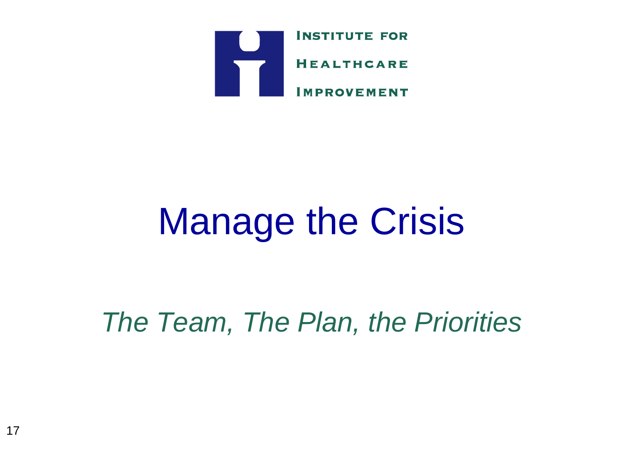

### Manage the Crisis

*The Team, The Plan, the Priorities*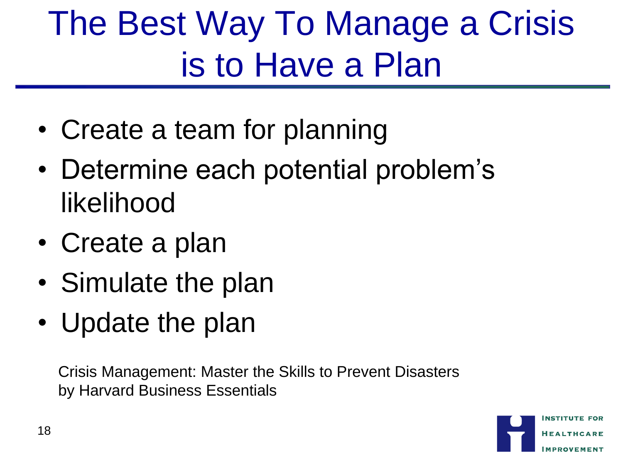### The Best Way To Manage a Crisis is to Have a Plan

- Create a team for planning
- Determine each potential problem's likelihood
- Create a plan
- Simulate the plan
- Update the plan

Crisis Management: Master the Skills to Prevent Disasters by Harvard Business Essentials

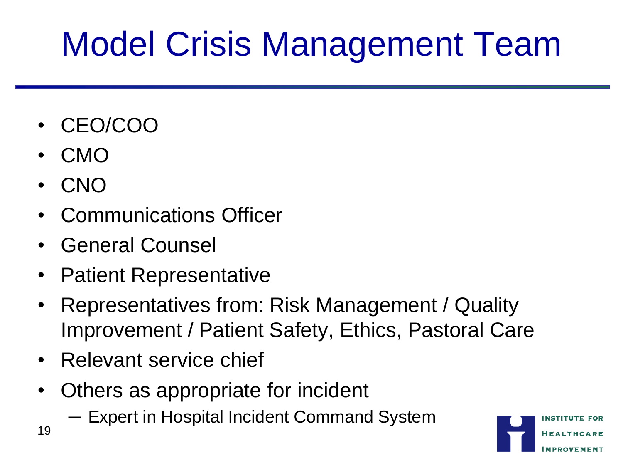### Model Crisis Management Team

- CEO/COO
- CMO
- CNO
- Communications Officer
- General Counsel
- Patient Representative
- Representatives from: Risk Management / Quality Improvement / Patient Safety, Ethics, Pastoral Care
- Relevant service chief
- Others as appropriate for incident
	- ─ Expert in Hospital Incident Command System

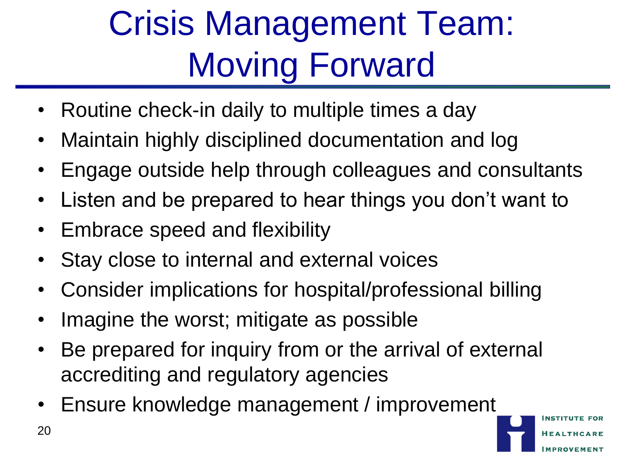### Crisis Management Team: Moving Forward

- Routine check-in daily to multiple times a day
- Maintain highly disciplined documentation and log
- Engage outside help through colleagues and consultants
- Listen and be prepared to hear things you don't want to
- Embrace speed and flexibility
- Stay close to internal and external voices
- Consider implications for hospital/professional billing
- Imagine the worst; mitigate as possible
- Be prepared for inquiry from or the arrival of external accrediting and regulatory agencies
- Ensure knowledge management / improvement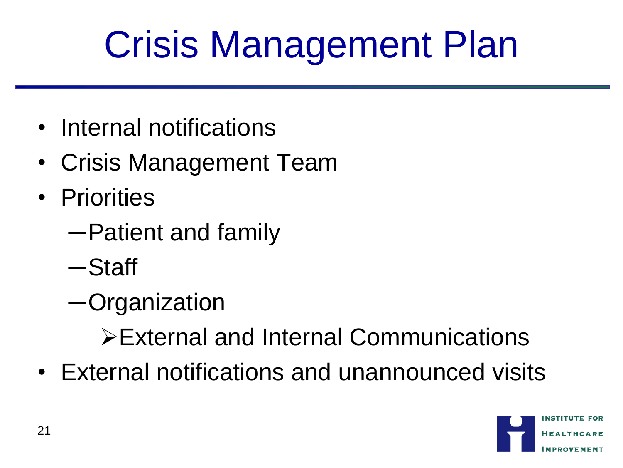## Crisis Management Plan

- Internal notifications
- Crisis Management Team
- Priorities
	- ─Patient and family
	- ─Staff
	- ─Organization

External and Internal Communications

• External notifications and unannounced visits

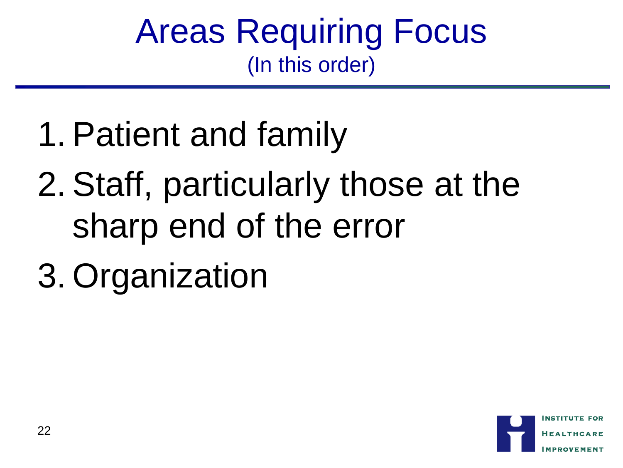#### Areas Requiring Focus (In this order)

- 1. Patient and family
- 2. Staff, particularly those at the sharp end of the error
- 3. Organization

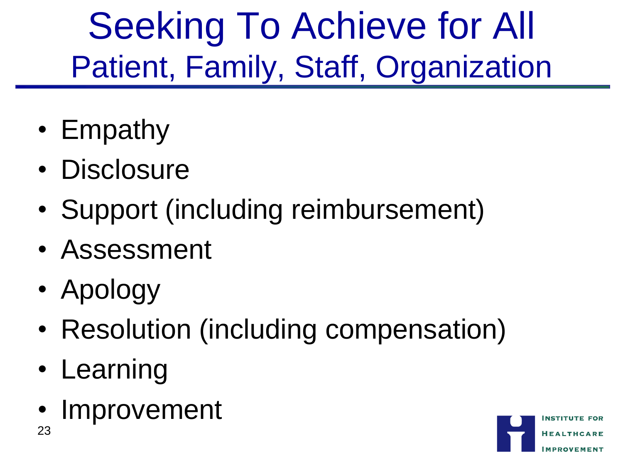Seeking To Achieve for All Patient, Family, Staff, Organization

- Empathy
- Disclosure
- Support (including reimbursement)
- Assessment
- Apology
- Resolution (including compensation)
- Learning
- Improvement 23

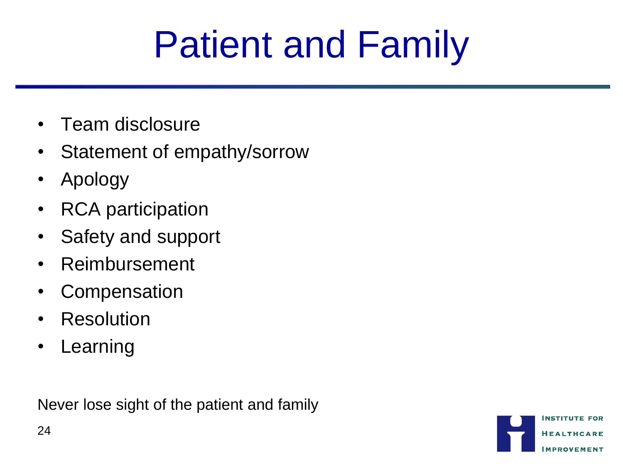## Patient and Family

- Team disclosure
- Statement of empathy/sorrow
- Apology
- RCA participation
- Safety and support
- Reimbursement
- Compensation
- Resolution
- Learning

Never lose sight of the patient and family

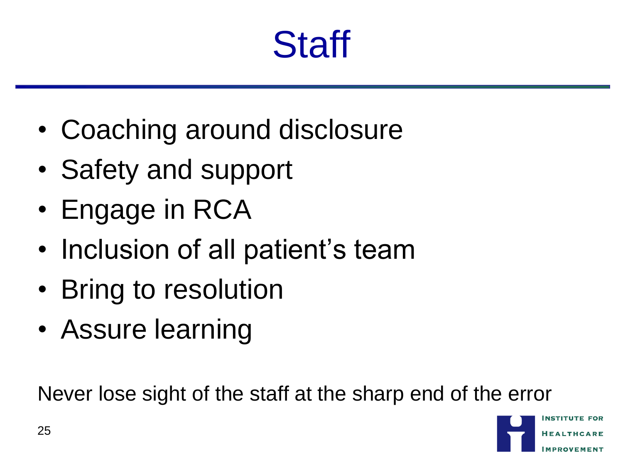### **Staff**

- Coaching around disclosure
- Safety and support
- Engage in RCA
- Inclusion of all patient's team
- Bring to resolution
- Assure learning

Never lose sight of the staff at the sharp end of the error

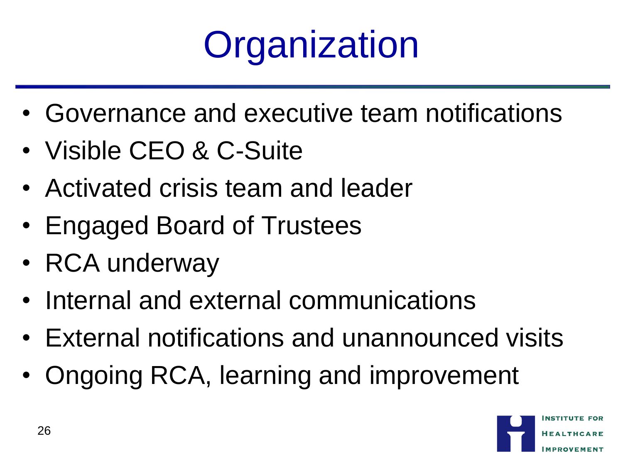

- Governance and executive team notifications
- Visible CEO & C-Suite
- Activated crisis team and leader
- Engaged Board of Trustees
- RCA underway
- Internal and external communications
- External notifications and unannounced visits
- Ongoing RCA, learning and improvement

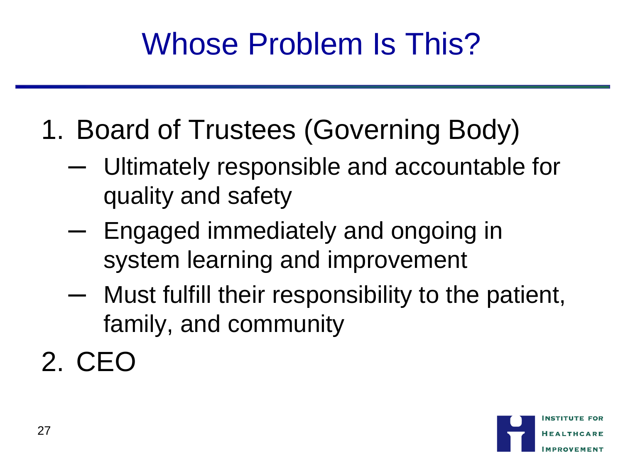#### Whose Problem Is This?

- 1. Board of Trustees (Governing Body)
	- ─ Ultimately responsible and accountable for quality and safety
	- ─ Engaged immediately and ongoing in system learning and improvement
	- ─ Must fulfill their responsibility to the patient, family, and community
- 2. CEO

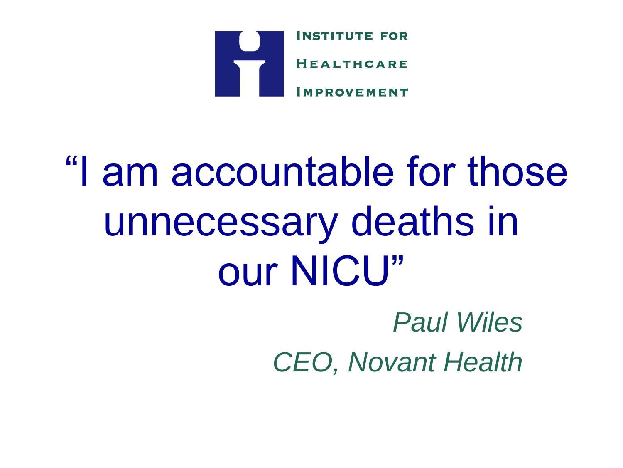

## "I am accountable for those unnecessary deaths in our NICU" *Paul Wiles*

*CEO, Novant Health*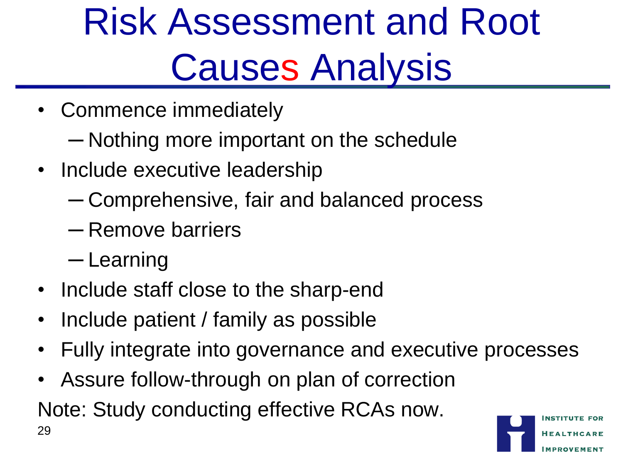## Risk Assessment and Root Causes Analysis

- Commence immediately
	- ─ Nothing more important on the schedule
- Include executive leadership
	- ─ Comprehensive, fair and balanced process
	- ─ Remove barriers
	- ─ Learning
- Include staff close to the sharp-end
- Include patient / family as possible
- Fully integrate into governance and executive processes
- Assure follow-through on plan of correction

Note: Study conducting effective RCAs now. 29

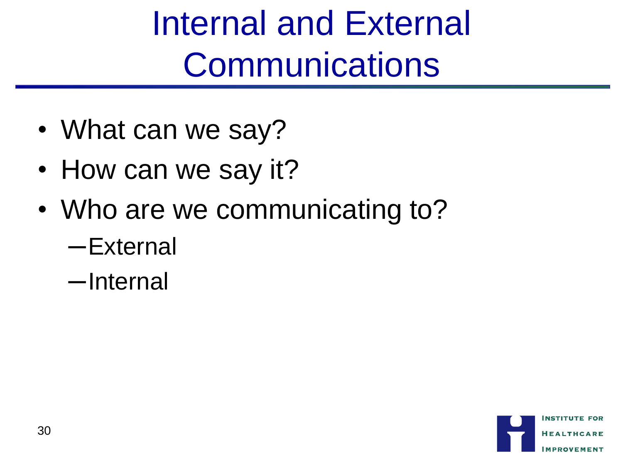Internal and External **Communications** 

- What can we say?
- How can we say it?
- Who are we communicating to?
	- ─External
	- ─Internal

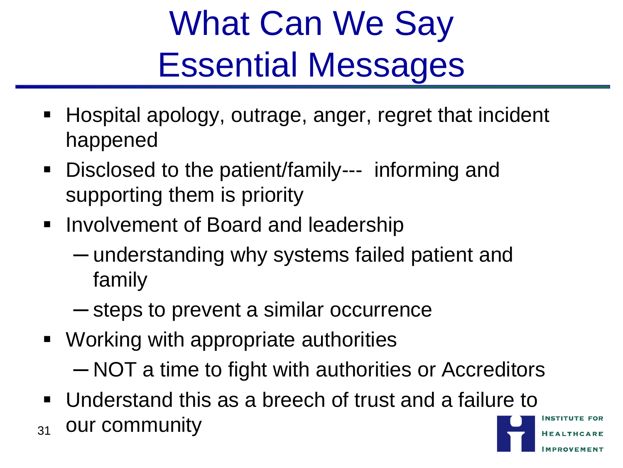### What Can We Say Essential Messages

- Hospital apology, outrage, anger, regret that incident happened
- Disclosed to the patient/family--- informing and supporting them is priority
- **Involvement of Board and leadership** 
	- ─ understanding why systems failed patient and family
	- ─ steps to prevent a similar occurrence
- Working with appropriate authorities ─ NOT a time to fight with authorities or Accreditors
- Understand this as a breech of trust and a failure to  $_{31}$  our community

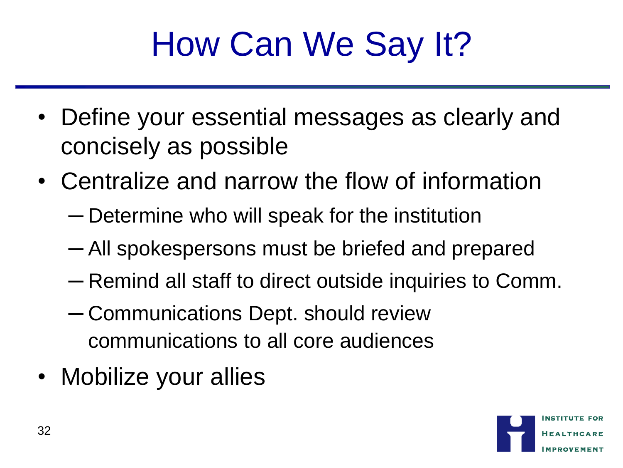### How Can We Say It?

- Define your essential messages as clearly and concisely as possible
- Centralize and narrow the flow of information
	- ─ Determine who will speak for the institution
	- ─ All spokespersons must be briefed and prepared
	- ─ Remind all staff to direct outside inquiries to Comm.
	- ─ Communications Dept. should review communications to all core audiences
- Mobilize your allies

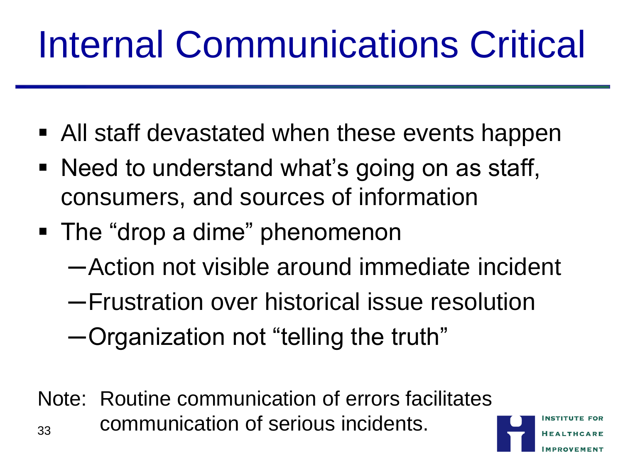## Internal Communications Critical

- All staff devastated when these events happen
- Need to understand what's going on as staff, consumers, and sources of information
- The "drop a dime" phenomenon
	- ─Action not visible around immediate incident
	- ─Frustration over historical issue resolution
	- ─Organization not "telling the truth"
- Note: Routine communication of errors facilitates  $_{33}$  communication of serious incidents.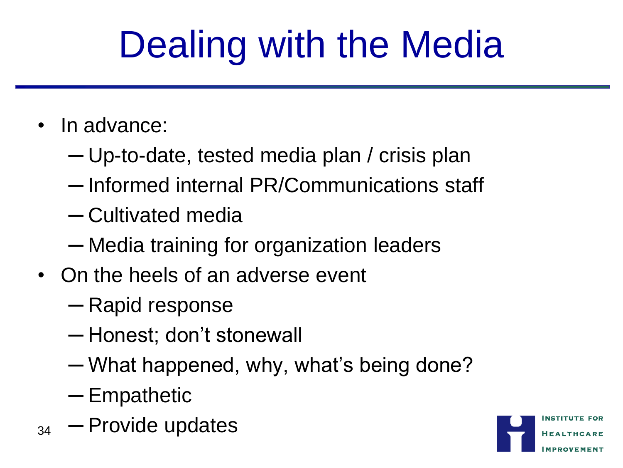# Dealing with the Media

- In advance:
	- ─ Up-to-date, tested media plan / crisis plan
	- ─ Informed internal PR/Communications staff
	- ─ Cultivated media
	- ─ Media training for organization leaders
- On the heels of an adverse event
	- ─ Rapid response
	- ─ Honest; don"t stonewall
	- ─ What happened, why, what"s being done?
	- ─ Empathetic
- $_{34}$  Provide updates

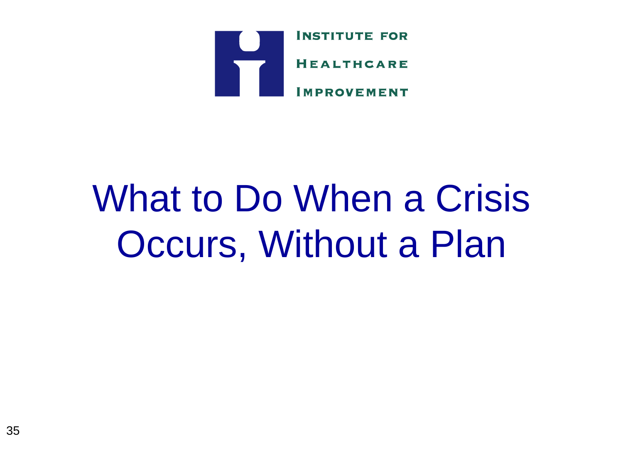

### What to Do When a Crisis Occurs, Without a Plan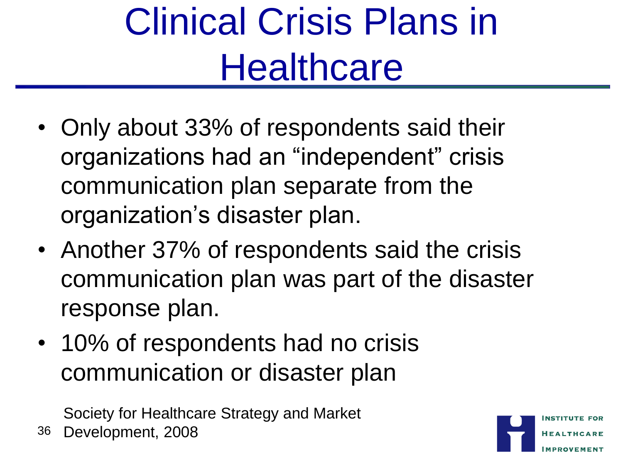## Clinical Crisis Plans in **Healthcare**

- Only about 33% of respondents said their organizations had an "independent" crisis communication plan separate from the organization"s disaster plan.
- Another 37% of respondents said the crisis communication plan was part of the disaster response plan.
- 10% of respondents had no crisis communication or disaster plan

Society for Healthcare Strategy and Market Development, 2008

36

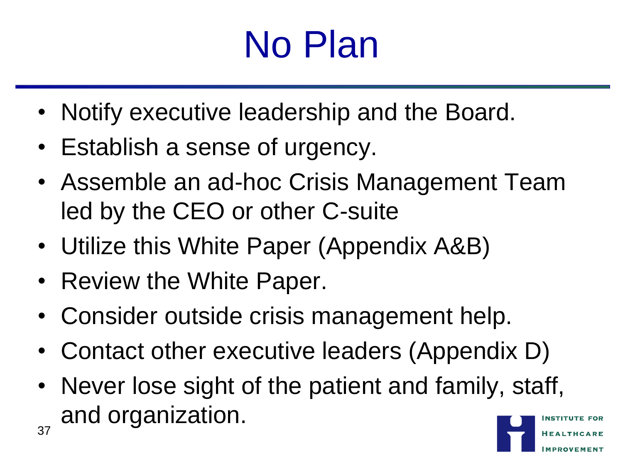### No Plan

- Notify executive leadership and the Board.
- Establish a sense of urgency.
- Assemble an ad-hoc Crisis Management Team led by the CEO or other C-suite
- Utilize this White Paper (Appendix A&B)
- Review the White Paper.
- Consider outside crisis management help.
- Contact other executive leaders (Appendix D)
- Never lose sight of the patient and family, staff, and organization. 37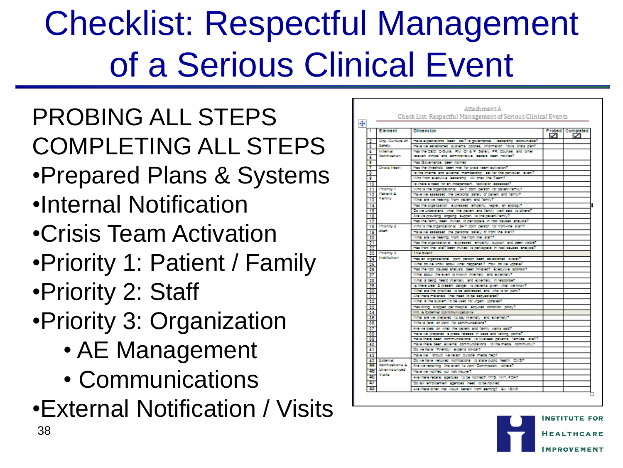### Checklist: Respectful Management of a Serious Clinical Event

#### PROBING ALL STEPS COMPLETING ALL STEPS

- •Prepared Plans & Systems
- •Internal Notification
- •Crisis Team Activation
- •Priority 1: Patient / Family
- •Priority 2: Staff
- •Priority 3: Organization
	- AE Management
	- Communications
- •External Notification / Visits

|                               |                         | Check List: Respectful Management of Serious Clinical Events                                                                     |   |                       |
|-------------------------------|-------------------------|----------------------------------------------------------------------------------------------------------------------------------|---|-----------------------|
| +                             |                         |                                                                                                                                  |   |                       |
| 1                             | Element                 | <b>Dimension</b>                                                                                                                 | ☑ | Probed Completed<br>◡ |
| 2                             | <b>Circ.</b> Culture of | Have expectations been set? is governance if leadership accountable?                                                             |   |                       |
| з                             | Sababy                  | Have we established systems, notcles, information flows, crisis nian?                                                            |   |                       |
| 4                             | Internal                | Has the CEO, C-Suite, RM, GI & P. Safety, PR, Coursel, and other                                                                 |   |                       |
| 6                             | Nobhighion              | relevant cinical and administrative leaders been notified?                                                                       |   |                       |
| ٥                             |                         | Has Governance been notified                                                                                                     |   |                       |
| 7                             | Chara Team              | Has the threshold been met for crisis team activation?                                                                           |   |                       |
| ε                             |                         | is the internal and external membership iset for this particular levent?                                                         |   |                       |
| ø                             |                         | Who from executive leadership will chair the Team?                                                                               |   |                       |
| 10                            |                         | is there a need for an independent. faciliator assessed?                                                                         |   |                       |
| 11                            | <b>Phonty 1</b>         | Who is the organization al 24/7 goint gerson for gattent/family7                                                                 |   |                       |
| 12                            | Patient &               | Have we assessed the personal safety of patient and family?                                                                      |   |                       |
| 13                            | <b>Framly</b>           | What are we hearing from gattent and family?                                                                                     |   |                       |
| 14                            |                         | Has the organization expressed empathy, regret, an applogy?                                                                      |   |                       |
| 16                            |                         | Do we understand what the gattert and family want said to others?                                                                |   |                       |
| 18                            |                         | Are we providing longoing support to the patient/family?                                                                         |   |                       |
| 17                            |                         | Has the family been invited to participate in root causes analysis?                                                              |   |                       |
| 13                            | Priority 2<br>56.47     | Who is the organization all 24/7 goint gerson for front-line istaff?                                                             |   |                       |
| 19                            |                         | Have we assessed the personal safety of front ine staff?                                                                         |   |                       |
| $\frac{20}{21}$               |                         | What are we hearing from the front line staff?                                                                                   |   |                       |
|                               |                         | Has the organizational lexpressed lempathy, support and been visible?                                                            |   |                       |
| 22                            | <b>Phonty 3</b>         | Has front line, staff been invited to participate, in root causes, analysis?<br><b>The Event</b>                                 |   |                       |
| 23                            | Institution             |                                                                                                                                  |   |                       |
|                               |                         | Has an organizational goint gerson been established overall?                                                                     |   |                       |
|                               |                         | What do we know about what happened? How do we update?                                                                           |   |                       |
|                               |                         | Has the root causes analysis been initiated? Executive sponsor?<br>What about the event is known internally and externally?      |   |                       |
|                               |                         |                                                                                                                                  |   |                       |
|                               |                         | What is being heard internally, and externally, in response?                                                                     |   |                       |
|                               |                         | is there clear & present danger, to patients given what we know?<br>What are the priorities to be addressed and who is on point? |   |                       |
|                               |                         | Are there materials. that need to be securetered?                                                                                |   |                       |
|                               |                         | What is the system to be used for urgent updates?                                                                                |   |                       |
| 24 25 28 27 28 29 30 31 32 33 |                         | Has bling stopped per hospital acquired condition policy?                                                                        |   |                       |
|                               |                         | Int. & External Communications                                                                                                   |   |                       |
| $\frac{34}{36}$               |                         | What are we prepared its say internally and externally?                                                                          |   |                       |
| 38                            |                         | Who is (sre) on point for communications?                                                                                        |   |                       |
| 37                            |                         | Are we clear on what the gattent and family wants said?                                                                          |   |                       |
| 33                            |                         | Have we prepared is press release in case and taking points?                                                                     |   |                       |
| 39                            |                         | Have there been communications to trustees, patients, families, staff?                                                           |   |                       |
| 40                            |                         | Have there been external communications, to the media, community?                                                                |   |                       |
| 41                            |                         | Do we have "Friendy" experts on-call?                                                                                            |   |                       |
| 42                            |                         | Have we / should we retain outside media help?                                                                                   |   |                       |
| 43                            | External                | Do we have required notifications to state public health. CMS7                                                                   |   |                       |
| 44                            | Nobhradiona &           | Are we reporting this event to Joint Commission, others?                                                                         |   |                       |
| 45                            | Ununnounced             | Have we notified our risk insurer?                                                                                               |   |                       |
| 45                            | Visaba                  | Are there federal agencies to be notified? HHS, NH, FOA?                                                                         |   |                       |
| 47                            |                         | Do law enforcement agencies meet to be notified.                                                                                 |   |                       |
|                               |                         | Are there other that would benefit from learning? Ex. ISMP                                                                       |   |                       |

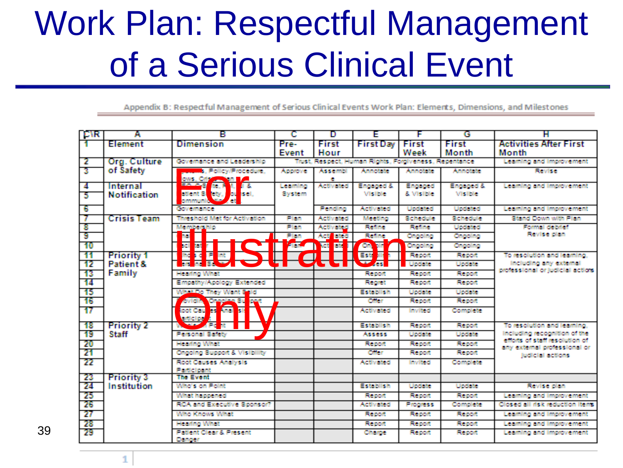### Work Plan: Respectful Management of a Serious Clinical Event

Appendix B: Respectful Management of Serious Clinical Events Work Plan: Elements, Dimensions, and Milestones

| I CAR.   | Α                                       | в                                                |                | D                                                      | F                              | г                                 | G               | н                                                              |
|----------|-----------------------------------------|--------------------------------------------------|----------------|--------------------------------------------------------|--------------------------------|-----------------------------------|-----------------|----------------------------------------------------------------|
|          | Element                                 | <b>Dimension</b>                                 | Pre-           | First                                                  | <b>First Dav</b>               | First                             | First           | <b>Activities After First</b>                                  |
|          |                                         |                                                  | Evrent         | Hour                                                   |                                | Week                              | Month           | Month                                                          |
| -2       | Org. Culture                            | Governance and Leadership                        |                | Trust, Resnect, Human Rights, Forgiveness, Regentance. |                                |                                   |                 | Learning and improvement                                       |
| -31      | of Safety                               | <b>Procedure</b> , Policy/Procedure.             | Annoone:       | Assembl                                                | Annotate:                      | Annotate:                         | Annotate:       | <b>Revise</b>                                                  |
| 4        | Internal                                | lows, Cript<br><b>Ta</b><br><b>Ball</b>          | Leaning        | ÷.<br>Activated                                        | Engaged &                      | Engaged                           | Engaged &       | Learning and improvement                                       |
| 5        | <b>Notification</b>                     | atlent 3 <mark>t</mark> ety.<br><b>Joe</b> Isel, | Sivisbern      |                                                        | <b>Mislible</b>                | & Visible                         | <b>Mislible</b> |                                                                |
|          |                                         | ommund                                           |                |                                                        |                                |                                   |                 |                                                                |
| 6        |                                         | <b>Covremience</b>                               |                | Pending                                                | Activated                      | Undated                           | Undated         | Learning and improvement                                       |
| 7        | Crisis Team                             | Threshold Met for Activation                     | Plan           | Activated                                              | Meeting                        | Schedule                          | <b>Schedule</b> | Stand Down with Plan                                           |
| 8        |                                         |                                                  | Plan           | Activated                                              | <b>Refine</b>                  | <b>Refine</b>                     | Undated         | Formal detailet                                                |
| -9       |                                         |                                                  | Plan           | Act<br><b>Richard</b>                                  | Feding                         | Choolna                           | Ongolng         | <b>Revise plan</b>                                             |
| -10      |                                         |                                                  | $\blacksquare$ | <b>THE MAIL</b>                                        | $\blacksquare$<br>Æ            | Cangoding                         | Choolna         |                                                                |
| -11      | <b>Priority 1</b>                       | Ngrejer<br>1919 – II<br>1919 – III<br>1919 – III |                |                                                        | Ā<br>Est                       | <b>FOR EXCITE</b>                 | <b>Formont</b>  | To resolution and learning.                                    |
| 12       | Patient &                               |                                                  |                |                                                        | $\overline{\phantom{a}}$       | Undate:                           | Undate:         | Including any external                                         |
| 13       | Family                                  | Headtha Wind                                     |                |                                                        | <b>Formont</b>                 | <b>Formont</b>                    | Report          | professional or judicial actions                               |
| 14.      |                                         | Empethy/Apology Extended                         |                |                                                        | Recipet                        | <b>Report</b>                     | <b>Report</b>   |                                                                |
| - 15     |                                         | <b>So They Went Sold</b>                         |                |                                                        | Fichabilish                    | Undertake                         | Undate          |                                                                |
| 16       |                                         | <b>ANDA VEREE SE</b>                             |                |                                                        | <b>Calleng</b>                 | <b>Report</b>                     | Research        |                                                                |
| 17       |                                         | <b>The Contract of Second</b>                    |                |                                                        | Activated                      | <b>Invited</b>                    | Committee:      |                                                                |
| -18      | <b>Priority 2</b>                       |                                                  |                |                                                        | Establish                      | <b>Respond</b>                    | <b>Respond</b>  | To resolution and learning.                                    |
| 19       | Staff                                   | Personal Safety                                  |                |                                                        | <b>Assess</b>                  | <b>Umdabe</b>                     | <b>Undeter</b>  | including recognition of the<br>efforts of staff resolution of |
| 20       |                                         | <b>Headno What</b>                               |                |                                                        | <b>Remont</b>                  | <b>Remont</b>                     | <b>Formont</b>  | any external professional or                                   |
| 21       |                                         | Choolne Support & Visibility                     |                |                                                        | Ciffer                         | <b>Formont</b>                    | <b>Respond</b>  | ludicial actions.                                              |
| -22      |                                         | Root Causes Analysis                             |                |                                                        | <b>Arthursted</b>              | Invited                           | Complete        |                                                                |
| 23       |                                         | Participant<br>The Front                         |                |                                                        |                                |                                   |                 |                                                                |
| 24       | <b>Priority 3</b><br><b>Institution</b> | Who's on Point                                   |                |                                                        | Fichaldlich                    | Ultradiction                      | Unidiate:       | Revise plan                                                    |
|          |                                         |                                                  |                |                                                        |                                |                                   | <b>Formont</b>  |                                                                |
| 25<br>26 |                                         | William hardcomedi<br>RCA and Executive Sconsor? |                |                                                        | <b>Foestword</b><br>Ar flywhed | <b>Formont</b><br><b>Progress</b> | <b>Complete</b> | Learning and improvement<br>Closed all risk reduction itens.   |
| -27      |                                         | Who Knows What                                   |                |                                                        | <b>Report</b>                  | <b>Respont</b>                    | <b>Respond</b>  |                                                                |
|          |                                         |                                                  |                |                                                        |                                |                                   |                 | Learning and improvement                                       |
| 28       |                                         | Hearing What<br>Patient Clear & Present          |                |                                                        | <b>Bernet</b>                  | <b>Biggerord</b>                  | <b>Bienard</b>  | Learning and Improvement                                       |
| 29       |                                         | <b>Donger</b>                                    |                |                                                        | <b>Charge</b>                  | <b>Brendt</b>                     | <b>Birmont</b>  | Learning and Improvement                                       |

39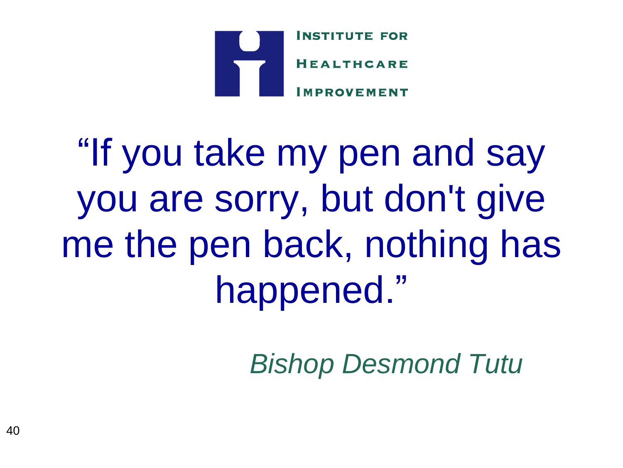

"If you take my pen and say you are sorry, but don't give me the pen back, nothing has happened."

*Bishop Desmond Tutu*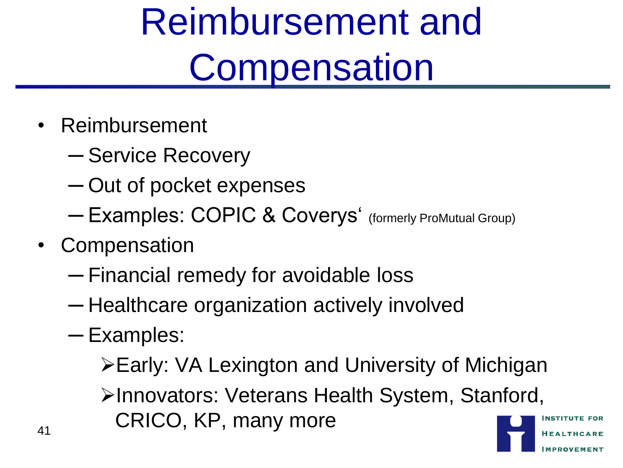## Reimbursement and **Compensation**

- Reimbursement
	- ─ Service Recovery
	- ─ Out of pocket expenses
	- ─ Examples: COPIC & Coverys" (formerly ProMutual Group)
- Compensation
	- ─ Financial remedy for avoidable loss
	- ─ Healthcare organization actively involved
	- ─ Examples:
		- Early: VA Lexington and University of Michigan
- Innovators: Veterans Health System, Stanford, 41 CRICO, KP, many more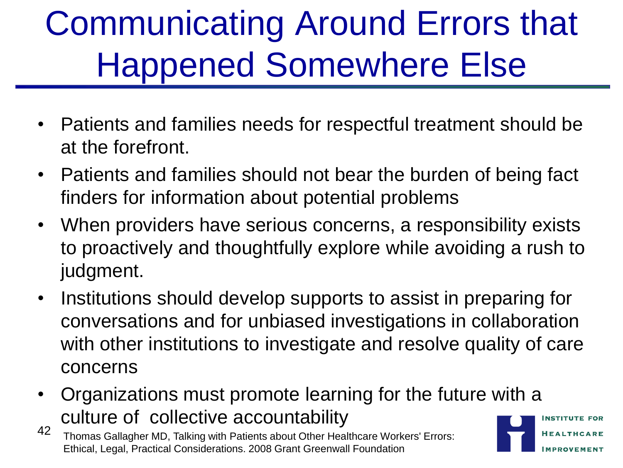### Communicating Around Errors that Happened Somewhere Else

- Patients and families needs for respectful treatment should be at the forefront.
- Patients and families should not bear the burden of being fact finders for information about potential problems
- When providers have serious concerns, a responsibility exists to proactively and thoughtfully explore while avoiding a rush to judgment.
- Institutions should develop supports to assist in preparing for conversations and for unbiased investigations in collaboration with other institutions to investigate and resolve quality of care concerns
- Organizations must promote learning for the future with a culture of collective accountability

42 Thomas Gallagher MD, Talking with Patients about Other Healthcare Workers' Errors: Ethical, Legal, Practical Considerations. 2008 Grant Greenwall Foundation

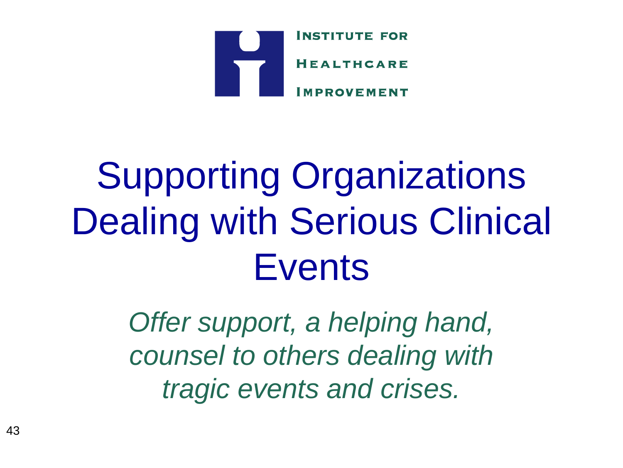

## Supporting Organizations Dealing with Serious Clinical **Events**

*Offer support, a helping hand, counsel to others dealing with tragic events and crises.*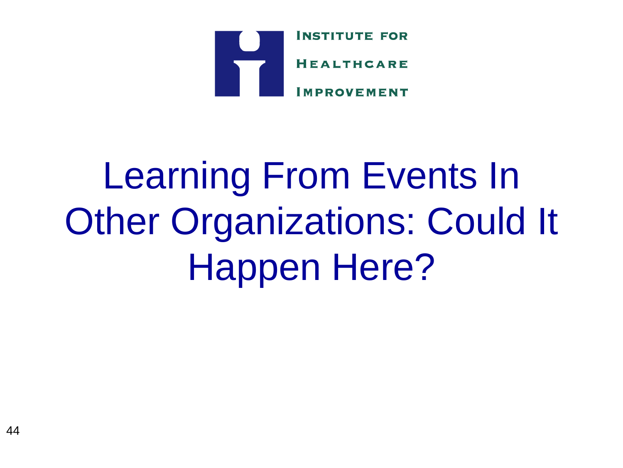

## Learning From Events In Other Organizations: Could It Happen Here?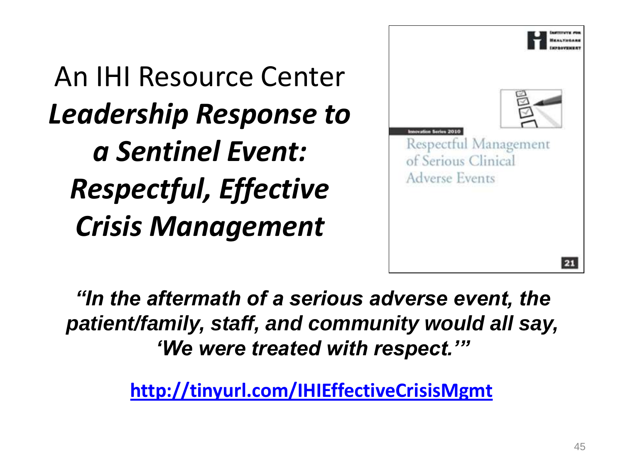An IHI Resource Center *Leadership Response to a Sentinel Event: Respectful, Effective Crisis Management*



*"In the aftermath of a serious adverse event, the patient/family, staff, and community would all say, "We were treated with respect.""*

**<http://tinyurl.com/IHIEffectiveCrisisMgmt>**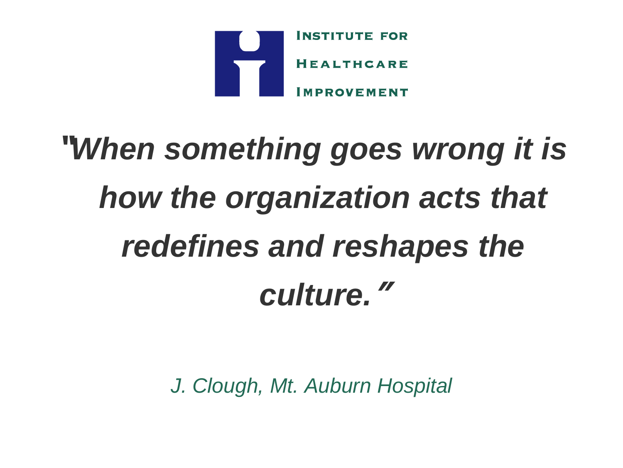

# **"***When something goes wrong it is how the organization acts that redefines and reshapes the culture.***"**

*J. Clough, Mt. Auburn Hospital*